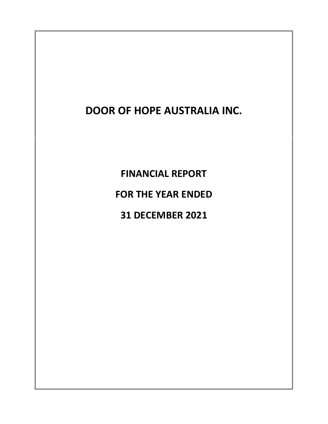**FINANCIAL REPORT FOR THE YEAR ENDED 31 DECEMBER 2021**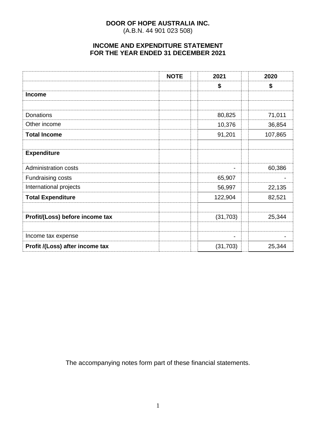(A.B.N. 44 901 023 508)

# **INCOME AND EXPENDITURE STATEMENT FOR THE YEAR ENDED 31 DECEMBER 2021**

|                                 | <b>NOTE</b> | 2021      | 2020    |
|---------------------------------|-------------|-----------|---------|
|                                 |             | \$        | \$      |
| <b>Income</b>                   |             |           |         |
|                                 |             |           |         |
| Donations                       |             | 80,825    | 71,011  |
| Other income                    |             | 10,376    | 36,854  |
| <b>Total Income</b>             |             | 91,201    | 107,865 |
|                                 |             |           |         |
| <b>Expenditure</b>              |             |           |         |
| <b>Administration costs</b>     |             | ۰         | 60,386  |
| <b>Fundraising costs</b>        |             | 65,907    |         |
| International projects          |             | 56,997    | 22,135  |
| <b>Total Expenditure</b>        |             | 122,904   | 82,521  |
|                                 |             |           |         |
| Profit/(Loss) before income tax |             | (31, 703) | 25,344  |
|                                 |             |           |         |
| Income tax expense              |             | -         |         |
| Profit /(Loss) after income tax |             | (31, 703) | 25,344  |

The accompanying notes form part of these financial statements.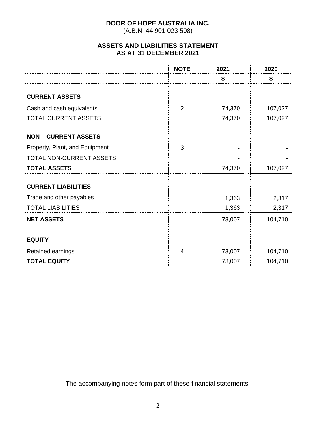(A.B.N. 44 901 023 508)

# **ASSETS AND LIABILITIES STATEMENT AS AT 31 DECEMBER 2021**

|                                | <b>NOTE</b>    | 2021   | 2020    |
|--------------------------------|----------------|--------|---------|
|                                |                | \$     | \$      |
|                                |                |        |         |
| <b>CURRENT ASSETS</b>          |                |        |         |
| Cash and cash equivalents      | $\overline{2}$ | 74,370 | 107,027 |
| <b>TOTAL CURRENT ASSETS</b>    |                | 74,370 | 107,027 |
|                                |                |        |         |
| <b>NON - CURRENT ASSETS</b>    |                |        |         |
| Property, Plant, and Equipment | 3              |        |         |
| TOTAL NON-CURRENT ASSETS       |                |        |         |
| <b>TOTAL ASSETS</b>            |                | 74,370 | 107,027 |
|                                |                |        |         |
| <b>CURRENT LIABILITIES</b>     |                |        |         |
| Trade and other payables       |                | 1,363  | 2,317   |
| <b>TOTAL LIABILITIES</b>       |                | 1,363  | 2,317   |
| <b>NET ASSETS</b>              |                | 73,007 | 104,710 |
|                                |                |        |         |
| <b>EQUITY</b>                  |                |        |         |
| Retained earnings              | 4              | 73,007 | 104,710 |
| <b>TOTAL EQUITY</b>            |                | 73,007 | 104,710 |

The accompanying notes form part of these financial statements.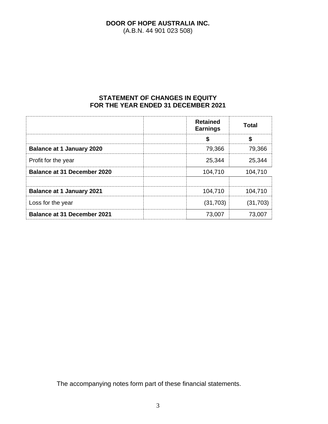(A.B.N. 44 901 023 508)

# **STATEMENT OF CHANGES IN EQUITY FOR THE YEAR ENDED 31 DECEMBER 2021**

|                                    | <b>Retained</b><br><b>Earnings</b> | <b>Total</b> |
|------------------------------------|------------------------------------|--------------|
|                                    | S                                  | \$           |
| <b>Balance at 1 January 2020</b>   | 79,366                             | 79,366       |
| Profit for the year                | 25,344                             | 25,344       |
| <b>Balance at 31 December 2020</b> | 104,710                            | 104,710      |
|                                    |                                    |              |
| <b>Balance at 1 January 2021</b>   | 104,710                            | 104,710      |
| Loss for the year                  | (31,703)                           | (31, 703)    |
| <b>Balance at 31 December 2021</b> | 73,007                             | 73,007       |

The accompanying notes form part of these financial statements.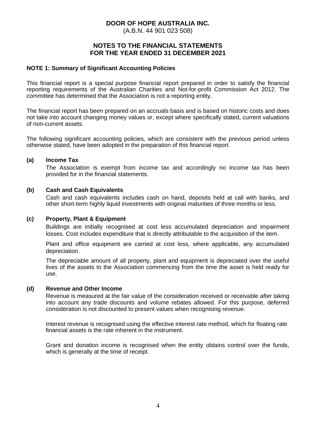(A.B.N. 44 901 023 508)

## **NOTES TO THE FINANCIAL STATEMENTS FOR THE YEAR ENDED 31 DECEMBER 2021**

## **NOTE 1: Summary of Significant Accounting Policies**

This financial report is a special purpose financial report prepared in order to satisfy the financial reporting requirements of the Australian Charities and Not-for-profit Commission Act 2012. The committee has determined that the Association is not a reporting entity.

The financial report has been prepared on an accruals basis and is based on historic costs and does not take into account changing money values or, except where specifically stated, current valuations of non-current assets.

The following significant accounting policies, which are consistent with the previous period unless otherwise stated, have been adopted in the preparation of this financial report.

#### **(a) Income Tax**

The Association is exempt from income tax and accordingly no income tax has been provided for in the financial statements.

#### **(b) Cash and Cash Equivalents**

Cash and cash equivalents includes cash on hand, deposits held at call with banks, and other short-term highly liquid investments with original maturities of three months or less.

#### **(c) Property, Plant & Equipment**

Buildings are initially recognised at cost less accumulated depreciation and impairment losses. Cost includes expenditure that is directly attributable to the acquisition of the item.

Plant and office equipment are carried at cost less, where applicable, any accumulated depreciation.

The depreciable amount of all property, plant and equipment is depreciated over the useful lives of the assets to the Association commencing from the time the asset is held ready for use.

#### **(d) Revenue and Other Income**

Revenue is measured at the fair value of the consideration received or receivable after taking into account any trade discounts and volume rebates allowed. For this purpose, deferred consideration is not discounted to present values when recognising revenue.

Interest revenue is recognised using the effective interest rate method, which for floating rate financial assets is the rate inherent in the instrument.

Grant and donation income is recognised when the entity obtains control over the funds, which is generally at the time of receipt.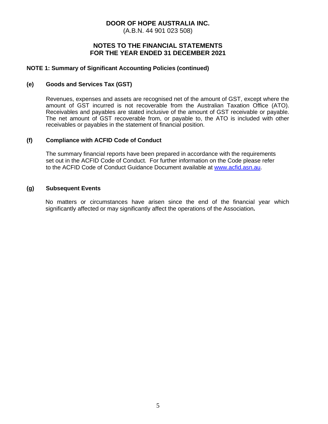(A.B.N. 44 901 023 508)

## **NOTES TO THE FINANCIAL STATEMENTS FOR THE YEAR ENDED 31 DECEMBER 2021**

## **NOTE 1: Summary of Significant Accounting Policies (continued)**

#### **(e) Goods and Services Tax (GST)**

Revenues, expenses and assets are recognised net of the amount of GST, except where the amount of GST incurred is not recoverable from the Australian Taxation Office (ATO). Receivables and payables are stated inclusive of the amount of GST receivable or payable. The net amount of GST recoverable from, or payable to, the ATO is included with other receivables or payables in the statement of financial position.

## **(f) Compliance with ACFID Code of Conduct**

The summary financial reports have been prepared in accordance with the requirements set out in the ACFID Code of Conduct. For further information on the Code please refer to the ACFID Code of Conduct Guidance Document available at [www.acfid.asn.au.](http://www.acfid.asn.au/)

#### **(g) Subsequent Events**

No matters or circumstances have arisen since the end of the financial year which significantly affected or may significantly affect the operations of the Association**.**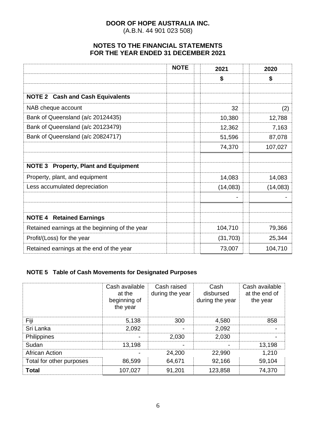(A.B.N. 44 901 023 508)

# **NOTES TO THE FINANCIAL STATEMENTS FOR THE YEAR ENDED 31 DECEMBER 2021**

|                                                       | <b>NOTE</b> | 2021      | 2020     |
|-------------------------------------------------------|-------------|-----------|----------|
|                                                       |             | \$        | \$       |
|                                                       |             |           |          |
| <b>NOTE 2 Cash and Cash Equivalents</b>               |             |           |          |
| NAB cheque account                                    |             | 32        | (2)      |
| Bank of Queensland (a/c 20124435)                     |             | 10,380    | 12,788   |
| Bank of Queensland (a/c 20123479)                     |             | 12,362    | 7,163    |
| Bank of Queensland (a/c 20824717)                     |             | 51,596    | 87,078   |
|                                                       |             | 74,370    | 107,027  |
|                                                       |             |           |          |
| <b>Property, Plant and Equipment</b><br><b>NOTE 3</b> |             |           |          |
| Property, plant, and equipment                        |             | 14,083    | 14,083   |
| Less accumulated depreciation                         |             | (14,083)  | (14,083) |
|                                                       |             |           |          |
|                                                       |             |           |          |
| <b>NOTE 4 Retained Earnings</b>                       |             |           |          |
| Retained earnings at the beginning of the year        |             | 104,710   | 79,366   |
| Profit/(Loss) for the year                            |             | (31, 703) | 25,344   |
| Retained earnings at the end of the year              |             | 73,007    | 104,710  |

# **NOTE 5 Table of Cash Movements for Designated Purposes**

|                          | Cash available<br>at the<br>beginning of<br>the year | Cash raised<br>during the year | Cash<br>disbursed<br>during the year | Cash available<br>at the end of<br>the year |
|--------------------------|------------------------------------------------------|--------------------------------|--------------------------------------|---------------------------------------------|
| Fiji                     | 5,138                                                | 300                            | 4,580                                | 858                                         |
| Sri Lanka                | 2,092                                                |                                | 2,092                                |                                             |
| Philippines              | -                                                    | 2,030                          | 2,030                                |                                             |
| Sudan                    | 13,198                                               |                                |                                      | 13,198                                      |
| African Action           |                                                      | 24,200                         | 22,990                               | 1,210                                       |
| Total for other purposes | 86,599                                               | 64,671                         | 92,166                               | 59,104                                      |
| <b>Total</b>             | 107,027                                              | 91,201                         | 123,858                              | 74,370                                      |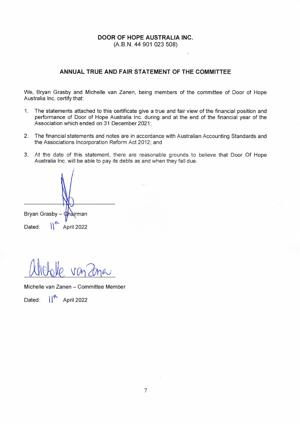## **DOOR OF HOPE AUSTRALIA INC.** (A.B.N. 44 901 023 508)

## ANNUAL TRUE AND FAIR STATEMENT OF THE COMMITTEE

We, Bryan Grasby and Michelle van Zanen, being members of the committee of Door of Hope Australia Inc. certify that:

- $1.$ The statements attached to this certificate give a true and fair view of the financial position and performance of Door of Hope Australia Inc. during and at the end of the financial year of the Association which ended on 31 December 2021;
- $2.$ The financial statements and notes are in accordance with Australian Accounting Standards and the Associations Incorporation Reform Act 2012; and
- 3. At the date of this statement, there are reasonable grounds to believe that Door Of Hope Australia Inc. will be able to pay its debts as and when they fall due.

Bryan Grasby – Chairman  $\mathbb{N}^n$ Dated: April 2022

Michelle van Zanen - Committee Member

Dated:  $\left|\right|^{\mathcal{R}}$  April 2022

 $\overline{7}$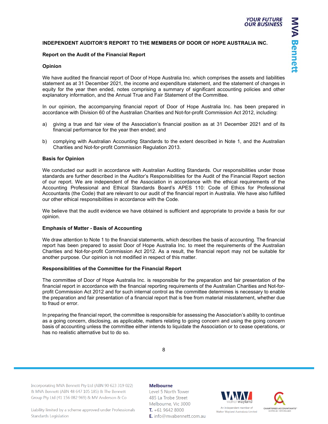**MVA Bennett** 

#### **INDEPENDENT AUDITOR'S REPORT TO THE MEMBERS OF DOOR OF HOPE AUSTRALIA INC.**

#### **Report on the Audit of the Financial Report**

#### **Opinion**

We have audited the financial report of Door of Hope Australia Inc. which comprises the assets and liabilities statement as at 31 December 2021, the income and expenditure statement, and the statement of changes in equity for the year then ended, notes comprising a summary of significant accounting policies and other explanatory information, and the Annual True and Fair Statement of the Committee.

In our opinion, the accompanying financial report of Door of Hope Australia Inc. has been prepared in accordance with Division 60 of the Australian Charities and Not-for-profit Commission Act 2012, including:

- a) giving a true and fair view of the Association's financial position as at 31 December 2021 and of its financial performance for the year then ended; and
- b) complying with Australian Accounting Standards to the extent described in Note 1, and the Australian Charities and Not-for-profit Commission Regulation 2013.

#### **Basis for Opinion**

We conducted our audit in accordance with Australian Auditing Standards. Our responsibilities under those standards are further described in the Auditor's Responsibilities for the Audit of the Financial Report section of our report. We are independent of the Association in accordance with the ethical requirements of the Accounting Professional and Ethical Standards Board's APES 110: Code of Ethics for Professional Accountants (the Code) that are relevant to our audit of the financial report in Australia. We have also fulfilled our other ethical responsibilities in accordance with the Code.

We believe that the audit evidence we have obtained is sufficient and appropriate to provide a basis for our opinion.

#### **Emphasis of Matter - Basis of Accounting**

We draw attention to Note 1 to the financial statements, which describes the basis of accounting. The financial report has been prepared to assist Door of Hope Australia Inc. to meet the requirements of the Australian Charities and Not-for-profit Commission Act 2012. As a result, the financial report may not be suitable for another purpose. Our opinion is not modified in respect of this matter.

#### **Responsibilities of the Committee for the Financial Report**

The committee of Door of Hope Australia Inc. is responsible for the preparation and fair presentation of the financial report in accordance with the financial reporting requirements of the Australian Charities and Not-forprofit Commission Act 2012 and for such internal control as the committee determines is necessary to enable the preparation and fair presentation of a financial report that is free from material misstatement, whether due to fraud or error.

In preparing the financial report, the committee is responsible for assessing the Association's ability to continue as a going concern, disclosing, as applicable, matters relating to going concern and using the going concern basis of accounting unless the committee either intends to liquidate the Association or to cease operations, or has no realistic alternative but to do so.

8

Incorporating MVA Bennett Pty Ltd (ABN 90 623 319 022) & MVA Bennett (ABN 48 647 105 185) & The Bennett Group Pty Ltd (41 156 082 969) & MV Anderson & Co

#### Liability limited by a scheme approved under Professionals **Standards Legislation**

#### **Melbourne**

Level 5 North Tower 485 La Trobe Street Melbourne, Vic 3000  $T. +6196428000$ E. info@mvabennett.com.au



**CHARTERED ACCOUNTANTS"**